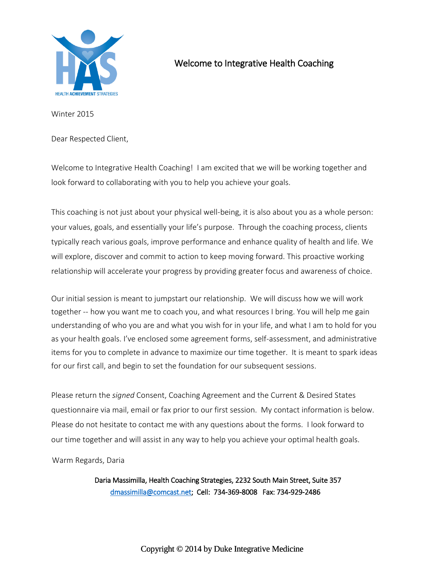

# Welcome to Integrative Health Coaching

Winter 2015

Dear Respected Client,

Welcome to Integrative Health Coaching! I am excited that we will be working together and look forward to collaborating with you to help you achieve your goals.

This coaching is not just about your physical well-being, it is also about you as a whole person: your values, goals, and essentially your life's purpose. Through the coaching process, clients typically reach various goals, improve performance and enhance quality of health and life. We will explore, discover and commit to action to keep moving forward. This proactive working relationship will accelerate your progress by providing greater focus and awareness of choice.

Our initial session is meant to jumpstart our relationship. We will discuss how we will work together -- how you want me to coach you, and what resources I bring. You will help me gain understanding of who you are and what you wish for in your life, and what I am to hold for you as your health goals. I've enclosed some agreement forms, self-assessment, and administrative items for you to complete in advance to maximize our time together. It is meant to spark ideas for our first call, and begin to set the foundation for our subsequent sessions.

Please return the *signed* Consent, Coaching Agreement and the Current & Desired States questionnaire via mail, email or fax prior to our first session. My contact information is below. Please do not hesitate to contact me with any questions about the forms. I look forward to our time together and will assist in any way to help you achieve your optimal health goals.

Warm Regards, Daria

Daria Massimilla, Health Coaching Strategies, 2232 South Main Street, Suite 357 [dmassimilla@comcast.net;](mailto:dmassimilla@comcast.net) Cell: 734-369-8008 Fax: 734-929-2486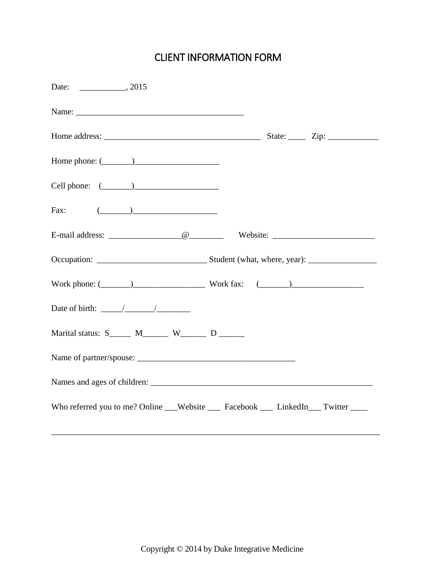# CLIENT INFORMATION FORM

| Home phone: $(\_\_)$                                                            |  |
|---------------------------------------------------------------------------------|--|
| Cell phone: $(\_\_)$                                                            |  |
| Fax: $(\_\_)$                                                                   |  |
|                                                                                 |  |
|                                                                                 |  |
| Work phone: $(\_\_\_\_)$ Work fax: $(\_\_\)_$                                   |  |
| Date of birth: $\frac{\sqrt{2}}{2}$                                             |  |
| Marital status: $S_$ M________ W________ D _______                              |  |
|                                                                                 |  |
|                                                                                 |  |
| Who referred you to me? Online __Website __ Facebook __ LinkedIn __ Twitter ___ |  |

\_\_\_\_\_\_\_\_\_\_\_\_\_\_\_\_\_\_\_\_\_\_\_\_\_\_\_\_\_\_\_\_\_\_\_\_\_\_\_\_\_\_\_\_\_\_\_\_\_\_\_\_\_\_\_\_\_\_\_\_\_\_\_\_\_\_\_\_\_\_\_\_\_\_\_\_\_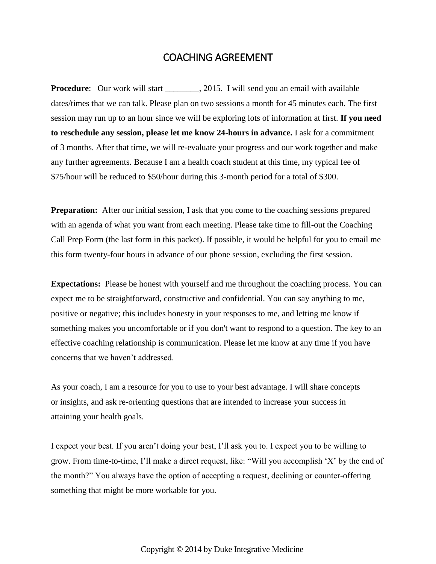#### COACHING AGREEMENT

**Procedure**: Our work will start \_\_\_\_\_\_\_\_, 2015. I will send you an email with available dates/times that we can talk. Please plan on two sessions a month for 45 minutes each. The first session may run up to an hour since we will be exploring lots of information at first. **If you need to reschedule any session, please let me know 24-hours in advance.** I ask for a commitment of 3 months. After that time, we will re-evaluate your progress and our work together and make any further agreements. Because I am a health coach student at this time, my typical fee of \$75/hour will be reduced to \$50/hour during this 3-month period for a total of \$300.

**Preparation:** After our initial session, I ask that you come to the coaching sessions prepared with an agenda of what you want from each meeting. Please take time to fill-out the Coaching Call Prep Form (the last form in this packet). If possible, it would be helpful for you to email me this form twenty-four hours in advance of our phone session, excluding the first session.

**Expectations:** Please be honest with yourself and me throughout the coaching process. You can expect me to be straightforward, constructive and confidential. You can say anything to me, positive or negative; this includes honesty in your responses to me, and letting me know if something makes you uncomfortable or if you don't want to respond to a question. The key to an effective coaching relationship is communication. Please let me know at any time if you have concerns that we haven't addressed.

As your coach, I am a resource for you to use to your best advantage. I will share concepts or insights, and ask re-orienting questions that are intended to increase your success in attaining your health goals.

I expect your best. If you aren't doing your best, I'll ask you to. I expect you to be willing to grow. From time-to-time, I'll make a direct request, like: "Will you accomplish 'X' by the end of the month?" You always have the option of accepting a request, declining or counter-offering something that might be more workable for you.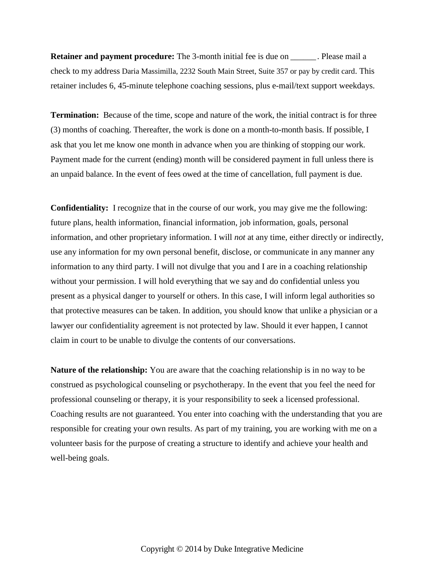**Retainer and payment procedure:** The 3-month initial fee is due on \_\_\_\_\_\_. Please mail a check to my address Daria Massimilla, 2232 South Main Street, Suite 357 or pay by credit card. This retainer includes 6, 45-minute telephone coaching sessions, plus e-mail/text support weekdays.

**Termination:** Because of the time, scope and nature of the work, the initial contract is for three (3) months of coaching. Thereafter, the work is done on a month-to-month basis. If possible, I ask that you let me know one month in advance when you are thinking of stopping our work. Payment made for the current (ending) month will be considered payment in full unless there is an unpaid balance. In the event of fees owed at the time of cancellation, full payment is due.

**Confidentiality:** I recognize that in the course of our work, you may give me the following: future plans, health information, financial information, job information, goals, personal information, and other proprietary information. I will *not* at any time, either directly or indirectly, use any information for my own personal benefit, disclose, or communicate in any manner any information to any third party. I will not divulge that you and I are in a coaching relationship without your permission. I will hold everything that we say and do confidential unless you present as a physical danger to yourself or others. In this case, I will inform legal authorities so that protective measures can be taken. In addition, you should know that unlike a physician or a lawyer our confidentiality agreement is not protected by law. Should it ever happen, I cannot claim in court to be unable to divulge the contents of our conversations.

**Nature of the relationship:** You are aware that the coaching relationship is in no way to be construed as psychological counseling or psychotherapy. In the event that you feel the need for professional counseling or therapy, it is your responsibility to seek a licensed professional. Coaching results are not guaranteed. You enter into coaching with the understanding that you are responsible for creating your own results. As part of my training, you are working with me on a volunteer basis for the purpose of creating a structure to identify and achieve your health and well-being goals.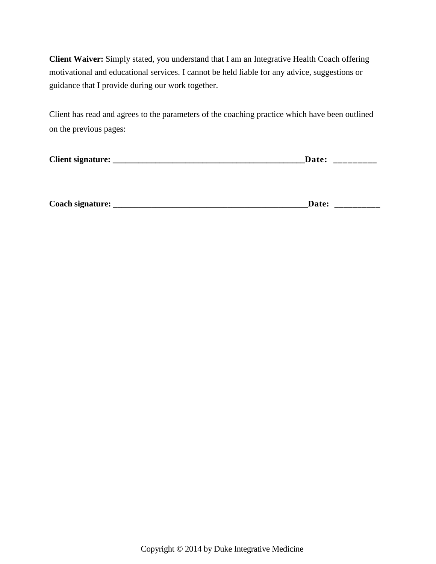**Client Waiver:** Simply stated, you understand that I am an Integrative Health Coach offering motivational and educational services. I cannot be held liable for any advice, suggestions or guidance that I provide during our work together.

Client has read and agrees to the parameters of the coaching practice which have been outlined on the previous pages:

| <b>Client signature:</b> | .и | _________ |
|--------------------------|----|-----------|
|--------------------------|----|-----------|

| Coach signature: | <b>Date:</b> | ____ |
|------------------|--------------|------|
|                  |              |      |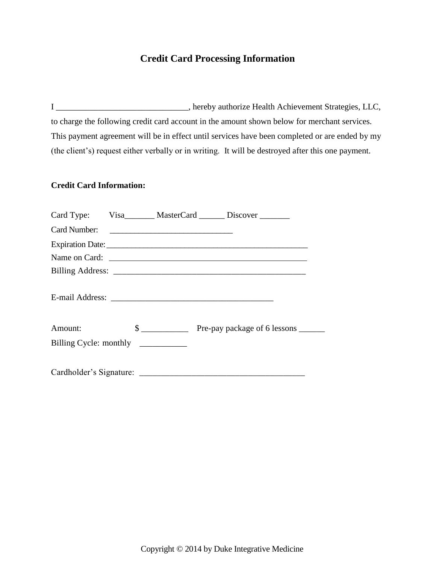#### **Credit Card Processing Information**

I \_\_\_\_\_\_\_\_\_\_\_\_\_\_\_\_\_\_\_\_\_\_\_\_\_\_\_\_\_\_\_, hereby authorize Health Achievement Strategies, LLC, to charge the following credit card account in the amount shown below for merchant services. This payment agreement will be in effect until services have been completed or are ended by my (the client's) request either verbally or in writing. It will be destroyed after this one payment.

#### **Credit Card Information:**

|                        |  | Card Type: Visa_______ MasterCard ______ Discover ______ |
|------------------------|--|----------------------------------------------------------|
| Card Number:           |  |                                                          |
|                        |  | Expiration Date: 1988.                                   |
|                        |  | Name on Card:                                            |
|                        |  |                                                          |
|                        |  |                                                          |
| Amount:                |  | $\frac{1}{2}$ Pre-pay package of 6 lessons ________      |
| Billing Cycle: monthly |  |                                                          |
|                        |  |                                                          |
|                        |  |                                                          |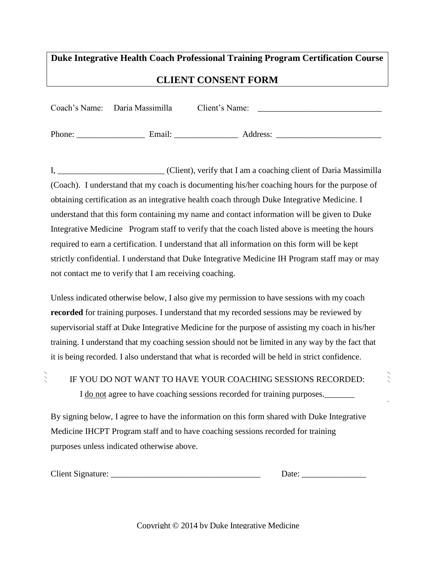# **Duke Integrative Health Coach Professional Training Program Certification Course CLIENT CONSENT FORM**

| Coach's Name: Daria Massimilla | Client's Name: |  |
|--------------------------------|----------------|--|
|                                |                |  |

Phone: \_\_\_\_\_\_\_\_\_\_\_\_\_\_\_\_ Email: \_\_\_\_\_\_\_\_\_\_\_\_\_\_\_ Address: \_\_\_\_\_\_\_\_\_\_\_\_\_\_\_\_\_\_\_\_\_\_\_\_\_

I, \_\_\_\_\_\_\_\_\_\_\_\_\_\_\_\_\_\_\_\_\_\_\_\_\_ (Client), verify that I am a coaching client of Daria Massimilla (Coach). I understand that my coach is documenting his/her coaching hours for the purpose of obtaining certification as an integrative health coach through Duke Integrative Medicine. I understand that this form containing my name and contact information will be given to Duke Integrative Medicine Program staff to verify that the coach listed above is meeting the hours required to earn a certification. I understand that all information on this form will be kept strictly confidential. I understand that Duke Integrative Medicine IH Program staff may or may not contact me to verify that I am receiving coaching.

Unless indicated otherwise below, I also give my permission to have sessions with my coach **recorded** for training purposes. I understand that my recorded sessions may be reviewed by supervisorial staff at Duke Integrative Medicine for the purpose of assisting my coach in his/her training. I understand that my coaching session should not be limited in any way by the fact that it is being recorded. I also understand that what is recorded will be held in strict confidence.

| IF YOU DO NOT WANT TO HAVE YOUR COACHING SESSIONS RECORDED:              |
|--------------------------------------------------------------------------|
| I do not agree to have coaching sessions recorded for training purposes. |

By signing below, I agree to have the information on this form shared with Duke Integrative Medicine IHCPT Program staff and to have coaching sessions recorded for training purposes unless indicated otherwise above.

Date:

 $\frac{1}{2}$ 

Copyright © 2014 by Duke Integrative Medicine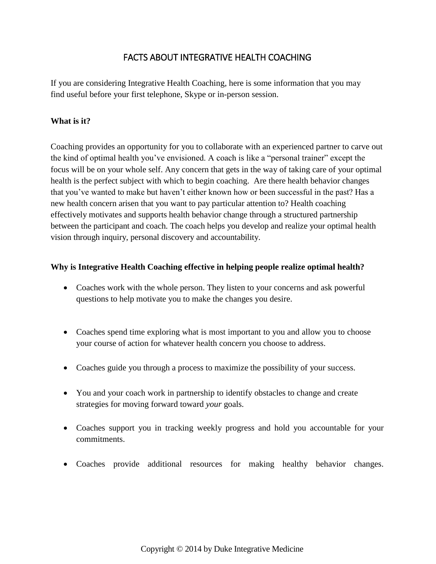### FACTS ABOUT INTEGRATIVE HEALTH COACHING

If you are considering Integrative Health Coaching, here is some information that you may find useful before your first telephone, Skype or in-person session.

#### **What is it?**

Coaching provides an opportunity for you to collaborate with an experienced partner to carve out the kind of optimal health you've envisioned. A coach is like a "personal trainer" except the focus will be on your whole self. Any concern that gets in the way of taking care of your optimal health is the perfect subject with which to begin coaching. Are there health behavior changes that you've wanted to make but haven't either known how or been successful in the past? Has a new health concern arisen that you want to pay particular attention to? Health coaching effectively motivates and supports health behavior change through a structured partnership between the participant and coach. The coach helps you develop and realize your optimal health vision through inquiry, personal discovery and accountability.

#### **Why is Integrative Health Coaching effective in helping people realize optimal health?**

- Coaches work with the whole person. They listen to your concerns and ask powerful questions to help motivate you to make the changes you desire.
- Coaches spend time exploring what is most important to you and allow you to choose your course of action for whatever health concern you choose to address.
- Coaches guide you through a process to maximize the possibility of your success.
- You and your coach work in partnership to identify obstacles to change and create strategies for moving forward toward *your* goals.
- Coaches support you in tracking weekly progress and hold you accountable for your commitments.
- Coaches provide additional resources for making healthy behavior changes.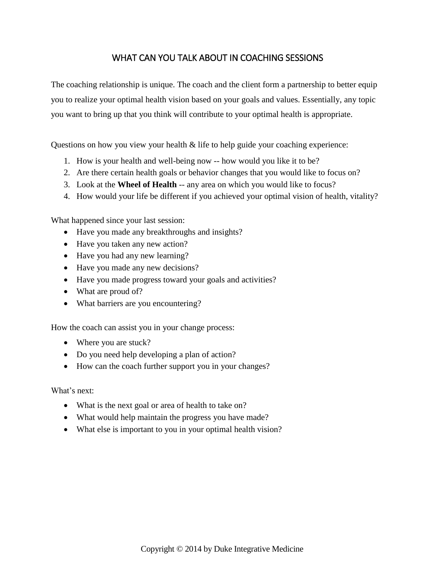#### WHAT CAN YOU TALK ABOUT IN COACHING SESSIONS

The coaching relationship is unique. The coach and the client form a partnership to better equip you to realize your optimal health vision based on your goals and values. Essentially, any topic you want to bring up that you think will contribute to your optimal health is appropriate.

Questions on how you view your health & life to help guide your coaching experience:

- 1. How is your health and well-being now -- how would you like it to be?
- 2. Are there certain health goals or behavior changes that you would like to focus on?
- 3. Look at the **Wheel of Health** -- any area on which you would like to focus?
- 4. How would your life be different if you achieved your optimal vision of health, vitality?

What happened since your last session:

- Have you made any breakthroughs and insights?
- Have you taken any new action?
- Have you had any new learning?
- Have you made any new decisions?
- Have you made progress toward your goals and activities?
- What are proud of?
- What barriers are you encountering?

How the coach can assist you in your change process:

- Where you are stuck?
- Do you need help developing a plan of action?
- How can the coach further support you in your changes?

What's next:

- What is the next goal or area of health to take on?
- What would help maintain the progress you have made?
- What else is important to you in your optimal health vision?